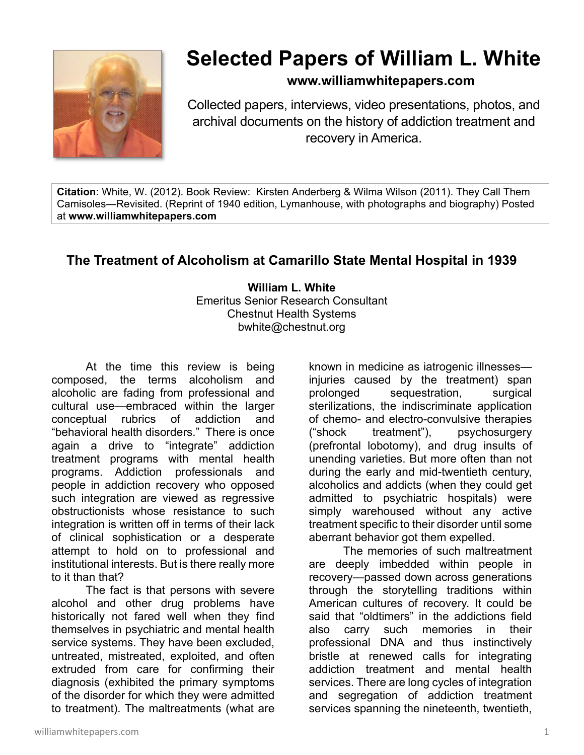

# **Selected Papers of William L. White**

## **www.williamwhitepapers.com**

Collected papers, interviews, video presentations, photos, and archival documents on the history of addiction treatment and recovery in America.

**Citation**: White, W. (2012). Book Review: Kirsten Anderberg & Wilma Wilson (2011). They Call Them Camisoles—Revisited. (Reprint of 1940 edition, Lymanhouse, with photographs and biography) Posted at **www.williamwhitepapers.com** 

## **The Treatment of Alcoholism at Camarillo State Mental Hospital in 1939**

**William L. White**  Emeritus Senior Research Consultant Chestnut Health Systems bwhite@chestnut.org

At the time this review is being composed, the terms alcoholism and alcoholic are fading from professional and cultural use—embraced within the larger conceptual rubrics of addiction and "behavioral health disorders." There is once again a drive to "integrate" addiction treatment programs with mental health programs. Addiction professionals and people in addiction recovery who opposed such integration are viewed as regressive obstructionists whose resistance to such integration is written off in terms of their lack of clinical sophistication or a desperate attempt to hold on to professional and institutional interests. But is there really more to it than that?

 The fact is that persons with severe alcohol and other drug problems have historically not fared well when they find themselves in psychiatric and mental health service systems. They have been excluded, untreated, mistreated, exploited, and often extruded from care for confirming their diagnosis (exhibited the primary symptoms of the disorder for which they were admitted to treatment). The maltreatments (what are

known in medicine as iatrogenic illnesses injuries caused by the treatment) span prolonged sequestration, surgical sterilizations, the indiscriminate application of chemo- and electro-convulsive therapies ("shock treatment"), psychosurgery (prefrontal lobotomy), and drug insults of unending varieties. But more often than not during the early and mid-twentieth century, alcoholics and addicts (when they could get admitted to psychiatric hospitals) were simply warehoused without any active treatment specific to their disorder until some aberrant behavior got them expelled.

The memories of such maltreatment are deeply imbedded within people in recovery—passed down across generations through the storytelling traditions within American cultures of recovery. It could be said that "oldtimers" in the addictions field also carry such memories in their professional DNA and thus instinctively bristle at renewed calls for integrating addiction treatment and mental health services. There are long cycles of integration and segregation of addiction treatment services spanning the nineteenth, twentieth,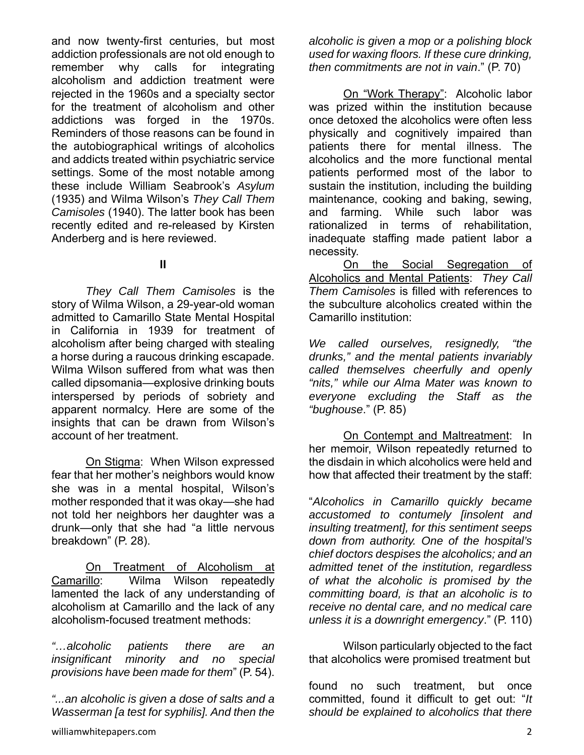and now twenty-first centuries, but most addiction professionals are not old enough to remember why calls for integrating alcoholism and addiction treatment were rejected in the 1960s and a specialty sector for the treatment of alcoholism and other addictions was forged in the 1970s. Reminders of those reasons can be found in the autobiographical writings of alcoholics and addicts treated within psychiatric service settings. Some of the most notable among these include William Seabrook's *Asylum* (1935) and Wilma Wilson's *They Call Them Camisoles* (1940). The latter book has been recently edited and re-released by Kirsten Anderberg and is here reviewed.

### **II**

*They Call Them Camisoles* is the story of Wilma Wilson, a 29-year-old woman admitted to Camarillo State Mental Hospital in California in 1939 for treatment of alcoholism after being charged with stealing a horse during a raucous drinking escapade. Wilma Wilson suffered from what was then called dipsomania—explosive drinking bouts interspersed by periods of sobriety and apparent normalcy. Here are some of the insights that can be drawn from Wilson's account of her treatment.

On Stigma: When Wilson expressed fear that her mother's neighbors would know she was in a mental hospital, Wilson's mother responded that it was okay—she had not told her neighbors her daughter was a drunk—only that she had "a little nervous breakdown" (P. 28).

On Treatment of Alcoholism at Camarill*o*: Wilma Wilson repeatedly lamented the lack of any understanding of alcoholism at Camarillo and the lack of any alcoholism-focused treatment methods:

*"…alcoholic patients there are an insignificant minority and no special provisions have been made for them*" (P. 54).

*"...an alcoholic is given a dose of salts and a Wasserman [a test for syphilis]. And then the*  *alcoholic is given a mop or a polishing block used for waxing floors. If these cure drinking, then commitments are not in vain*." (P. 70)

 On "Work Therapy": Alcoholic labor was prized within the institution because once detoxed the alcoholics were often less physically and cognitively impaired than patients there for mental illness. The alcoholics and the more functional mental patients performed most of the labor to sustain the institution, including the building maintenance, cooking and baking, sewing, and farming. While such labor was rationalized in terms of rehabilitation, inadequate staffing made patient labor a necessity.

 On the Social Segregation of Alcoholics and Mental Patients: *They Call Them Camisoles* is filled with references to the subculture alcoholics created within the Camarillo institution:

*We called ourselves, resignedly, "the drunks," and the mental patients invariably called themselves cheerfully and openly "nits," while our Alma Mater was known to everyone excluding the Staff as the "bughouse*." (P. 85)

 On Contempt and Maltreatment: In her memoir, Wilson repeatedly returned to the disdain in which alcoholics were held and how that affected their treatment by the staff:

"*Alcoholics in Camarillo quickly became accustomed to contumely [insolent and insulting treatment], for this sentiment seeps down from authority. One of the hospital's chief doctors despises the alcoholics; and an admitted tenet of the institution, regardless of what the alcoholic is promised by the committing board, is that an alcoholic is to receive no dental care, and no medical care unless it is a downright emergency*." (P. 110)

 Wilson particularly objected to the fact that alcoholics were promised treatment but

found no such treatment, but once committed, found it difficult to get out: "*It should be explained to alcoholics that there*